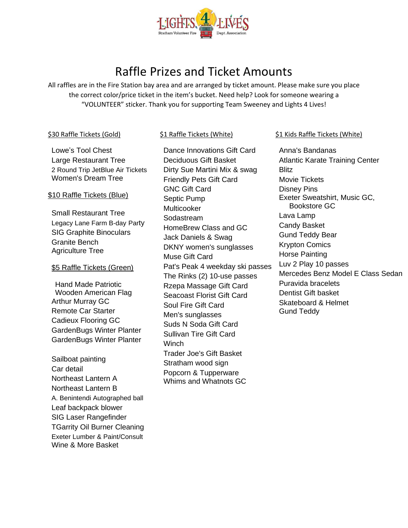

# Raffle Prizes and Ticket Amounts

All raffles are in the Fire Station bay area and are arranged by ticket amount. Please make sure you place the correct color/price ticket in the item's bucket. Need help? Look for someone wearing a "VOLUNTEER" sticker. Thank you for supporting Team Sweeney and Lights 4 Lives!

## \$30 Raffle Tickets (Gold)

## \$1 Raffle Tickets (White)

Lowe's Tool Chest Large Restaurant Tree 2 Round Trip JetBlue Air Tickets Women's Dream Tree

## \$10 Raffle Tickets (Blue)

Small Restaurant Tree Legacy Lane Farm B-day Party SIG Graphite Binoculars Granite Bench Agriculture Tree

## \$5 Raffle Tickets (Green)

Hand Made Patriotic Wooden American Flag Arthur Murray GC Remote Car Starter Cadieux Flooring GC GardenBugs Winter Planter GardenBugs Winter Planter

Sailboat painting Car detail Northeast Lantern A Northeast Lantern B A. Benintendi Autographed ball Leaf backpack blower SIG Laser Rangefinder TGarrity Oil Burner Cleaning Exeter Lumber & Paint/Consult Wine & More Basket

Dance Innovations Gift Card Deciduous Gift Basket Dirty Sue Martini Mix & swag Friendly Pets Gift Card GNC Gift Card Septic Pump Multicooker Sodastream HomeBrew Class and GC Jack Daniels & Swag DKNY women's sunglasses Muse Gift Card Pat's Peak 4 weekday ski passes The Rinks (2) 10-use passes Rzepa Massage Gift Card Seacoast Florist Gift Card Soul Fire Gift Card Men's sunglasses Suds N Soda Gift Card Sullivan Tire Gift Card **Winch** Trader Joe's Gift Basket Stratham wood sign Popcorn & Tupperware Whims and Whatnots GC

## \$1 Kids Raffle Tickets (White)

Anna's Bandanas Atlantic Karate Training Center Blitz Movie Tickets Disney Pins Exeter Sweatshirt, Music GC, Bookstore GC Lava Lamp Candy Basket Gund Teddy Bear Krypton Comics Horse Painting Luv 2 Play 10 passes Mercedes Benz Model E Class Sedan Puravida bracelets Dentist Gift basket Skateboard & Helmet Gund Teddy